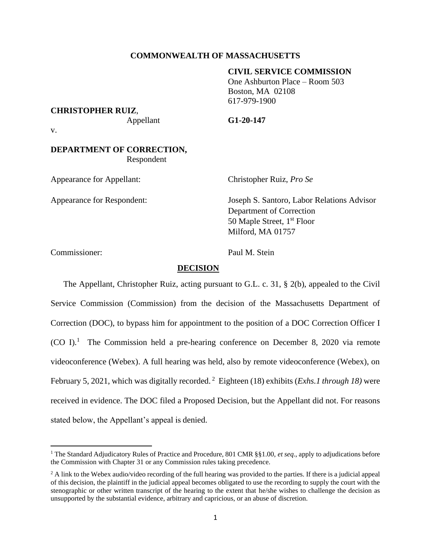## **COMMONWEALTH OF MASSACHUSETTS**

#### **CIVIL SERVICE COMMISSION**

One Ashburton Place – Room 503 Boston, MA 02108 617-979-1900

#### **CHRISTOPHER RUIZ**,

Appellant **G1-20-147**

v.

# **DEPARTMENT OF CORRECTION,** Respondent

Appearance for Appellant: Christopher Ruiz, *Pro Se*

Appearance for Respondent: Joseph S. Santoro, Labor Relations Advisor Department of Correction 50 Maple Street, 1<sup>st</sup> Floor Milford, MA 01757

Commissioner: Paul M. Stein

### **DECISION**

The Appellant, Christopher Ruiz, acting pursuant to G.L. c. 31, § 2(b), appealed to the Civil Service Commission (Commission) from the decision of the Massachusetts Department of Correction (DOC), to bypass him for appointment to the position of a DOC Correction Officer I (CO I). <sup>1</sup> The Commission held a pre-hearing conference on December 8, 2020 via remote videoconference (Webex). A full hearing was held, also by remote videoconference (Webex), on February 5, 2021, which was digitally recorded. 2 Eighteen (18) exhibits (*Exhs.1 through 18)* were received in evidence. The DOC filed a Proposed Decision, but the Appellant did not. For reasons stated below, the Appellant's appeal is denied.

<sup>1</sup> The Standard Adjudicatory Rules of Practice and Procedure, 801 CMR §§1.00, *et seq*., apply to adjudications before the Commission with Chapter 31 or any Commission rules taking precedence.

<sup>&</sup>lt;sup>2</sup> A link to the Webex audio/video recording of the full hearing was provided to the parties. If there is a judicial appeal of this decision, the plaintiff in the judicial appeal becomes obligated to use the recording to supply the court with the stenographic or other written transcript of the hearing to the extent that he/she wishes to challenge the decision as unsupported by the substantial evidence, arbitrary and capricious, or an abuse of discretion.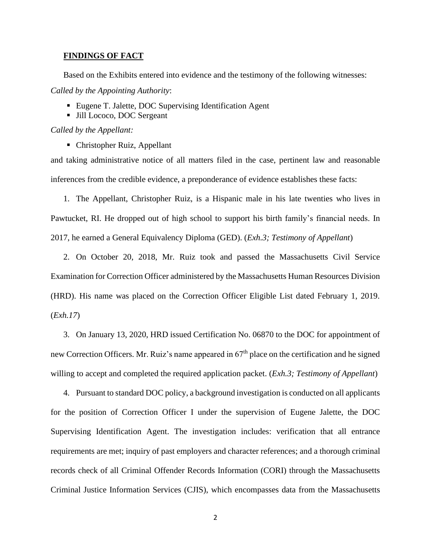### **FINDINGS OF FACT**

Based on the Exhibits entered into evidence and the testimony of the following witnesses: *Called by the Appointing Authority*:

- Eugene T. Jalette, DOC Supervising Identification Agent
- Jill Lococo, DOC Sergeant

*Called by the Appellant:*

■ Christopher Ruiz, Appellant

and taking administrative notice of all matters filed in the case, pertinent law and reasonable inferences from the credible evidence, a preponderance of evidence establishes these facts:

1. The Appellant, Christopher Ruiz, is a Hispanic male in his late twenties who lives in Pawtucket, RI. He dropped out of high school to support his birth family's financial needs. In 2017, he earned a General Equivalency Diploma (GED). (*Exh.3; Testimony of Appellant*)

2. On October 20, 2018, Mr. Ruiz took and passed the Massachusetts Civil Service Examination for Correction Officer administered by the Massachusetts Human Resources Division (HRD). His name was placed on the Correction Officer Eligible List dated February 1, 2019. (*Exh.17*)

3. On January 13, 2020, HRD issued Certification No. 06870 to the DOC for appointment of new Correction Officers. Mr. Ruiz's name appeared in 67<sup>th</sup> place on the certification and he signed willing to accept and completed the required application packet. (*Exh.3; Testimony of Appellant*)

4. Pursuant to standard DOC policy, a background investigation is conducted on all applicants for the position of Correction Officer I under the supervision of Eugene Jalette, the DOC Supervising Identification Agent. The investigation includes: verification that all entrance requirements are met; inquiry of past employers and character references; and a thorough criminal records check of all Criminal Offender Records Information (CORI) through the Massachusetts Criminal Justice Information Services (CJIS), which encompasses data from the Massachusetts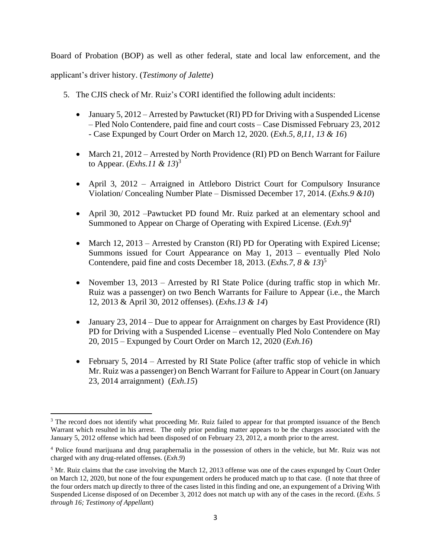Board of Probation (BOP) as well as other federal, state and local law enforcement, and the

applicant's driver history. (*Testimony of Jalette*)

- 5. The CJIS check of Mr. Ruiz's CORI identified the following adult incidents:
	- January 5, 2012 Arrested by Pawtucket (RI) PD for Driving with a Suspended License – Pled Nolo Contendere, paid fine and court costs – Case Dismissed February 23, 2012 - Case Expunged by Court Order on March 12, 2020. (*Exh.5, 8,11, 13 & 16*)
	- March 21, 2012 Arrested by North Providence (RI) PD on Bench Warrant for Failure to Appear. (*Exhs.11 & 13*) 3
	- April 3, 2012 Arraigned in Attleboro District Court for Compulsory Insurance Violation/ Concealing Number Plate – Dismissed December 17, 2014. (*Exhs.9 &10*)
	- April 30, 2012 –Pawtucket PD found Mr. Ruiz parked at an elementary school and Summoned to Appear on Charge of Operating with Expired License. (*Exh.9*) 4
	- March 12, 2013 Arrested by Cranston (RI) PD for Operating with Expired License; Summons issued for Court Appearance on May 1, 2013 – eventually Pled Nolo Contendere, paid fine and costs December 18, 2013. (*Exhs.7, 8 & 13*) 5
	- November 13, 2013 Arrested by RI State Police (during traffic stop in which Mr. Ruiz was a passenger) on two Bench Warrants for Failure to Appear (i.e., the March 12, 2013 & April 30, 2012 offenses). (*Exhs.13 & 14*)
	- January 23, 2014 Due to appear for Arraignment on charges by East Providence (RI) PD for Driving with a Suspended License – eventually Pled Nolo Contendere on May 20, 2015 – Expunged by Court Order on March 12, 2020 (*Exh.16*)
	- February 5, 2014 Arrested by RI State Police (after traffic stop of vehicle in which Mr. Ruiz was a passenger) on Bench Warrant for Failure to Appear in Court (on January 23, 2014 arraignment) (*Exh.15*)

<sup>&</sup>lt;sup>3</sup> The record does not identify what proceeding Mr. Ruiz failed to appear for that prompted issuance of the Bench Warrant which resulted in his arrest. The only prior pending matter appears to be the charges associated with the January 5, 2012 offense which had been disposed of on February 23, 2012, a month prior to the arrest.

<sup>4</sup> Police found marijuana and drug paraphernalia in the possession of others in the vehicle, but Mr. Ruiz was not charged with any drug-related offenses. (*Exh.9*)

<sup>&</sup>lt;sup>5</sup> Mr. Ruiz claims that the case involving the March 12, 2013 offense was one of the cases expunged by Court Order on March 12, 2020, but none of the four expungement orders he produced match up to that case. (I note that three of the four orders match up directly to three of the cases listed in this finding and one, an expungement of a Driving With Suspended License disposed of on December 3, 2012 does not match up with any of the cases in the record. (*Exhs. 5 through 16; Testimony of Appellan*t)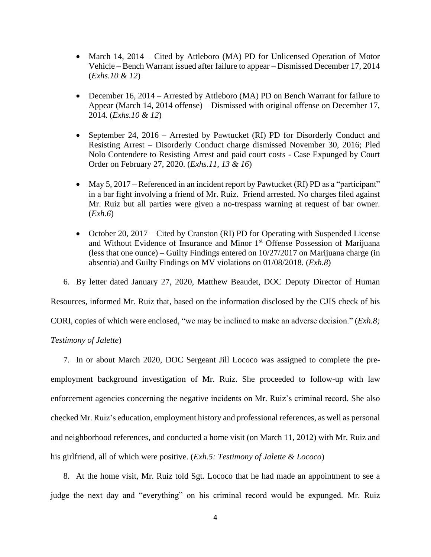- March 14, 2014 Cited by Attleboro (MA) PD for Unlicensed Operation of Motor Vehicle – Bench Warrant issued after failure to appear – Dismissed December 17, 2014 (*Exhs.10 & 12*)
- December 16, 2014 Arrested by Attleboro (MA) PD on Bench Warrant for failure to Appear (March 14, 2014 offense) – Dismissed with original offense on December 17, 2014. (*Exhs.10 & 12*)
- September 24, 2016 Arrested by Pawtucket (RI) PD for Disorderly Conduct and Resisting Arrest – Disorderly Conduct charge dismissed November 30, 2016; Pled Nolo Contendere to Resisting Arrest and paid court costs - Case Expunged by Court Order on February 27, 2020. (*Exhs.11, 13 & 16*)
- May 5, 2017 Referenced in an incident report by Pawtucket (RI) PD as a "participant" in a bar fight involving a friend of Mr. Ruiz. Friend arrested. No charges filed against Mr. Ruiz but all parties were given a no-trespass warning at request of bar owner. (*Exh.6*)
- October 20, 2017 Cited by Cranston (RI) PD for Operating with Suspended License and Without Evidence of Insurance and Minor 1<sup>st</sup> Offense Possession of Marijuana (less that one ounce) – Guilty Findings entered on 10/27/2017 on Marijuana charge (in absentia) and Guilty Findings on MV violations on 01/08/2018. (*Exh.8*)
- 6. By letter dated January 27, 2020, Matthew Beaudet, DOC Deputy Director of Human

Resources, informed Mr. Ruiz that, based on the information disclosed by the CJIS check of his

CORI, copies of which were enclosed, "we may be inclined to make an adverse decision." (*Exh.8;* 

# *Testimony of Jalette*)

7. In or about March 2020, DOC Sergeant Jill Lococo was assigned to complete the preemployment background investigation of Mr. Ruiz. She proceeded to follow-up with law enforcement agencies concerning the negative incidents on Mr. Ruiz's criminal record. She also checked Mr. Ruiz's education, employment history and professional references, as well as personal and neighborhood references, and conducted a home visit (on March 11, 2012) with Mr. Ruiz and his girlfriend, all of which were positive. (*Exh.5: Testimony of Jalette & Lococo*)

8. At the home visit, Mr. Ruiz told Sgt. Lococo that he had made an appointment to see a judge the next day and "everything" on his criminal record would be expunged. Mr. Ruiz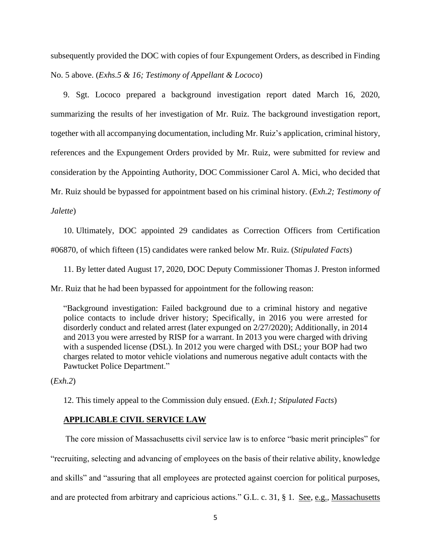subsequently provided the DOC with copies of four Expungement Orders, as described in Finding No. 5 above. (*Exhs.5 & 16; Testimony of Appellant & Lococo*)

9. Sgt. Lococo prepared a background investigation report dated March 16, 2020, summarizing the results of her investigation of Mr. Ruiz. The background investigation report, together with all accompanying documentation, including Mr. Ruiz's application, criminal history, references and the Expungement Orders provided by Mr. Ruiz, were submitted for review and consideration by the Appointing Authority, DOC Commissioner Carol A. Mici, who decided that Mr. Ruiz should be bypassed for appointment based on his criminal history. (*Exh.2; Testimony of Jalette*)

10. Ultimately, DOC appointed 29 candidates as Correction Officers from Certification #06870, of which fifteen (15) candidates were ranked below Mr. Ruiz. (*Stipulated Facts*)

11. By letter dated August 17, 2020, DOC Deputy Commissioner Thomas J. Preston informed

Mr. Ruiz that he had been bypassed for appointment for the following reason:

"Background investigation: Failed background due to a criminal history and negative police contacts to include driver history; Specifically, in 2016 you were arrested for disorderly conduct and related arrest (later expunged on 2/27/2020); Additionally, in 2014 and 2013 you were arrested by RISP for a warrant. In 2013 you were charged with driving with a suspended license (DSL). In 2012 you were charged with DSL; your BOP had two charges related to motor vehicle violations and numerous negative adult contacts with the Pawtucket Police Department."

(*Exh.2*)

12. This timely appeal to the Commission duly ensued. (*Exh.1; Stipulated Facts*)

## **APPLICABLE CIVIL SERVICE LAW**

 The core mission of Massachusetts civil service law is to enforce "basic merit principles" for "recruiting, selecting and advancing of employees on the basis of their relative ability, knowledge and skills" and "assuring that all employees are protected against coercion for political purposes, and are protected from arbitrary and capricious actions." G.L. c. 31, § 1. See, e.g., Massachusetts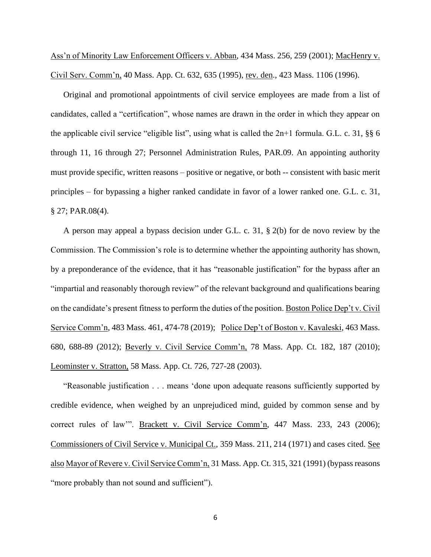Ass'n of Minority Law Enforcement Officers v. Abban, 434 Mass. 256, 259 (2001); MacHenry v. Civil Serv. Comm'n, 40 Mass. App. Ct. 632, 635 (1995), rev. den., 423 Mass. 1106 (1996).

Original and promotional appointments of civil service employees are made from a list of candidates, called a "certification", whose names are drawn in the order in which they appear on the applicable civil service "eligible list", using what is called the 2n+1 formula. G.L. c. 31, §§ 6 through 11, 16 through 27; Personnel Administration Rules, PAR.09. An appointing authority must provide specific, written reasons – positive or negative, or both -- consistent with basic merit principles – for bypassing a higher ranked candidate in favor of a lower ranked one. G.L. c. 31, § 27; PAR.08(4).

A person may appeal a bypass decision under G.L. c. 31, § 2(b) for de novo review by the Commission. The Commission's role is to determine whether the appointing authority has shown, by a preponderance of the evidence, that it has "reasonable justification" for the bypass after an "impartial and reasonably thorough review" of the relevant background and qualifications bearing on the candidate's present fitness to perform the duties of the position. Boston Police Dep't v. Civil Service Comm'n, 483 Mass. 461, 474-78 (2019); Police Dep't of Boston v. Kavaleski, 463 Mass. 680, 688-89 (2012); Beverly v. Civil Service Comm'n, 78 Mass. App. Ct. 182, 187 (2010); Leominster v. Stratton, 58 Mass. App. Ct. 726, 727-28 (2003).

"Reasonable justification . . . means 'done upon adequate reasons sufficiently supported by credible evidence, when weighed by an unprejudiced mind, guided by common sense and by correct rules of law'". Brackett v. Civil Service Comm'n, 447 Mass. 233, 243 (2006); Commissioners of Civil Service v. Municipal Ct., 359 Mass. 211, 214 (1971) and cases cited. See also Mayor of Revere v. Civil Service Comm'n, 31 Mass. App. Ct. 315, 321 (1991) (bypass reasons "more probably than not sound and sufficient").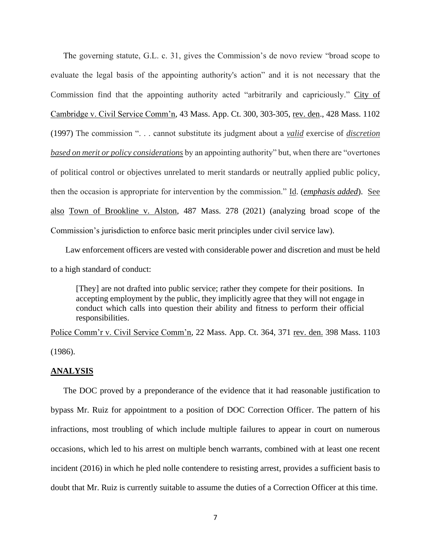The governing statute, G.L. c. 31, gives the Commission's de novo review "broad scope to evaluate the legal basis of the appointing authority's action" and it is not necessary that the Commission find that the appointing authority acted "arbitrarily and capriciously." City of Cambridge v. Civil Service Comm'n, 43 Mass. App. Ct. 300, 303-305, rev. den., 428 Mass. 1102 (1997) The commission ". . . cannot substitute its judgment about a *valid* exercise of *discretion based on merit or policy considerations* by an appointing authority" but, when there are "overtones of political control or objectives unrelated to merit standards or neutrally applied public policy, then the occasion is appropriate for intervention by the commission." Id. (*emphasis added*). See also Town of Brookline v. Alston, 487 Mass. 278 (2021) (analyzing broad scope of the Commission's jurisdiction to enforce basic merit principles under civil service law).

 Law enforcement officers are vested with considerable power and discretion and must be held to a high standard of conduct:

[They] are not drafted into public service; rather they compete for their positions. In accepting employment by the public, they implicitly agree that they will not engage in conduct which calls into question their ability and fitness to perform their official responsibilities.

Police Comm'r v. Civil Service Comm'n, 22 Mass. App. Ct. 364, 371 rev. den. 398 Mass. 1103 (1986).

### **ANALYSIS**

The DOC proved by a preponderance of the evidence that it had reasonable justification to bypass Mr. Ruiz for appointment to a position of DOC Correction Officer. The pattern of his infractions, most troubling of which include multiple failures to appear in court on numerous occasions, which led to his arrest on multiple bench warrants, combined with at least one recent incident (2016) in which he pled nolle contendere to resisting arrest, provides a sufficient basis to doubt that Mr. Ruiz is currently suitable to assume the duties of a Correction Officer at this time.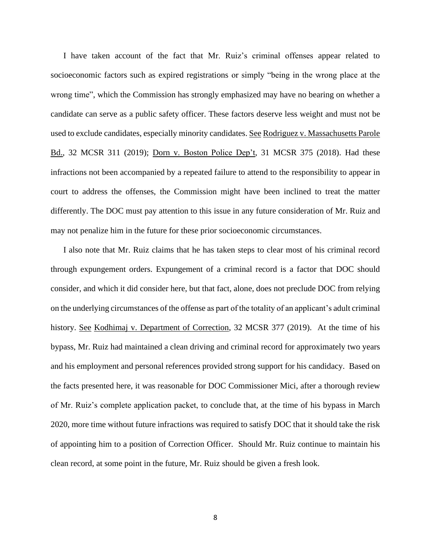I have taken account of the fact that Mr. Ruiz's criminal offenses appear related to socioeconomic factors such as expired registrations or simply "being in the wrong place at the wrong time", which the Commission has strongly emphasized may have no bearing on whether a candidate can serve as a public safety officer. These factors deserve less weight and must not be used to exclude candidates, especially minority candidates. See Rodriguez v. Massachusetts Parole Bd., 32 MCSR 311 (2019); Dorn v. Boston Police Dep't, 31 MCSR 375 (2018). Had these infractions not been accompanied by a repeated failure to attend to the responsibility to appear in court to address the offenses, the Commission might have been inclined to treat the matter differently. The DOC must pay attention to this issue in any future consideration of Mr. Ruiz and may not penalize him in the future for these prior socioeconomic circumstances.

I also note that Mr. Ruiz claims that he has taken steps to clear most of his criminal record through expungement orders. Expungement of a criminal record is a factor that DOC should consider, and which it did consider here, but that fact, alone, does not preclude DOC from relying on the underlying circumstances of the offense as part of the totality of an applicant's adult criminal history. See Kodhimaj v. Department of Correction, 32 MCSR 377 (2019). At the time of his bypass, Mr. Ruiz had maintained a clean driving and criminal record for approximately two years and his employment and personal references provided strong support for his candidacy. Based on the facts presented here, it was reasonable for DOC Commissioner Mici, after a thorough review of Mr. Ruiz's complete application packet, to conclude that, at the time of his bypass in March 2020, more time without future infractions was required to satisfy DOC that it should take the risk of appointing him to a position of Correction Officer. Should Mr. Ruiz continue to maintain his clean record, at some point in the future, Mr. Ruiz should be given a fresh look.